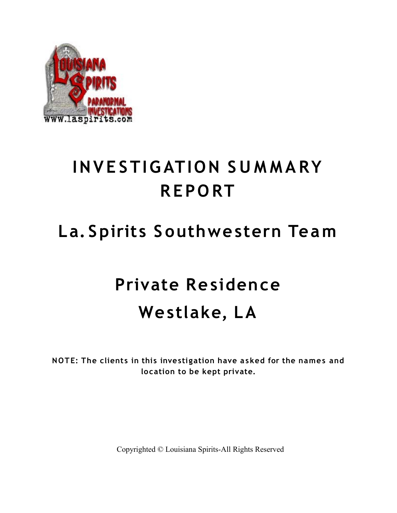

## **INV E STIG ATION S U M M A RY R EPO RT**

### **La. Spirits S outhwestern Team**

# **Private Residence Westlake, LA**

**NOTE: The clients in this investigation have a sked for the names and location to be kept private.**

Copyrighted © Louisiana Spirits-All Rights Reserved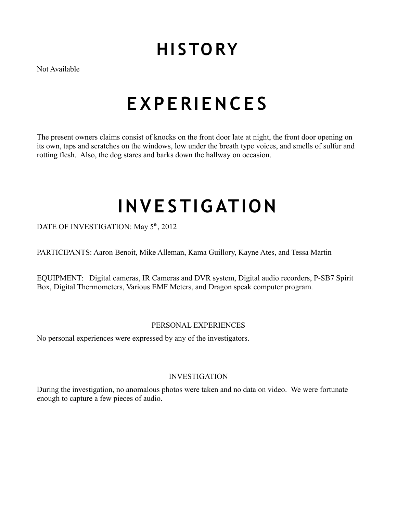### **HI S TO RY**

Not Available

## **E XP E RIE N C E S**

The present owners claims consist of knocks on the front door late at night, the front door opening on its own, taps and scratches on the windows, low under the breath type voices, and smells of sulfur and rotting flesh. Also, the dog stares and barks down the hallway on occasion.

# **INVE STIG ATION**

DATE OF INVESTIGATION: May 5<sup>th</sup>, 2012

PARTICIPANTS: Aaron Benoit, Mike Alleman, Kama Guillory, Kayne Ates, and Tessa Martin

EQUIPMENT: Digital cameras, IR Cameras and DVR system, Digital audio recorders, P-SB7 Spirit Box, Digital Thermometers, Various EMF Meters, and Dragon speak computer program.

#### PERSONAL EXPERIENCES

No personal experiences were expressed by any of the investigators.

#### INVESTIGATION

During the investigation, no anomalous photos were taken and no data on video. We were fortunate enough to capture a few pieces of audio.